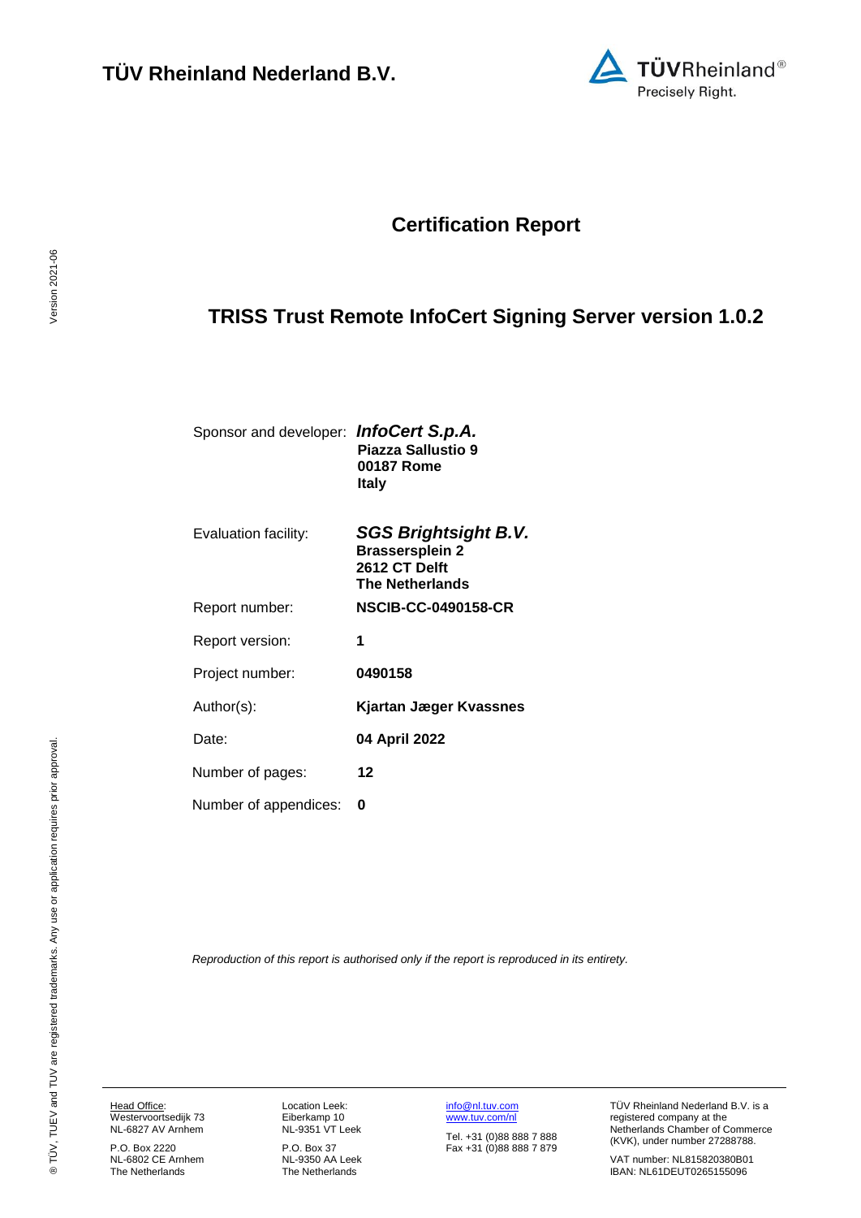

## **Certification Report**

# <span id="page-0-3"></span>**TRISS Trust Remote InfoCert Signing Server version 1.0.2**

<span id="page-0-4"></span>

| Sponsor and developer: InfoCert S.p.A. |                    |
|----------------------------------------|--------------------|
|                                        | Piazza Sallustio 9 |
|                                        | 00187 Rome         |
|                                        | Italv              |
|                                        |                    |

<span id="page-0-2"></span><span id="page-0-1"></span><span id="page-0-0"></span>

| <b>SGS Brightsight B.V.</b><br><b>Brassersplein 2</b><br>2612 CT Delft<br><b>The Netherlands</b> |
|--------------------------------------------------------------------------------------------------|
| NSCIB-CC-0490158-CR                                                                              |
| 1                                                                                                |
| 0490158                                                                                          |
| Kjartan Jæger Kvassnes                                                                           |
| 04 April 2022                                                                                    |
| 12                                                                                               |
| O                                                                                                |
|                                                                                                  |

*Reproduction of this report is authorised only if the report is reproduced in its entirety.*

Head Office: Westervoortsedijk 73

NL-6827 AV Arnhem P.O. Box 2220 NL-6802 CE Arnhem The Netherlands

Location Leek: Eiberkamp 10 NL-9351 VT Leek

P.O. Box 37 NL-9350 AA Leek The Netherlands

[info@nl.tuv.com](mailto:info@nl.tuv.com) [www.tuv.com/nl](http://www.tuv.com/nl) Tel. +31 (0)88 888 7 888 Fax +31 (0)88 888 7 879 TÜV Rheinland Nederland B.V. is a registered company at the Netherlands Chamber of Commerce (KVK), under number 27288788.

VAT number: NL815820380B01 IBAN: NL61DEUT0265155096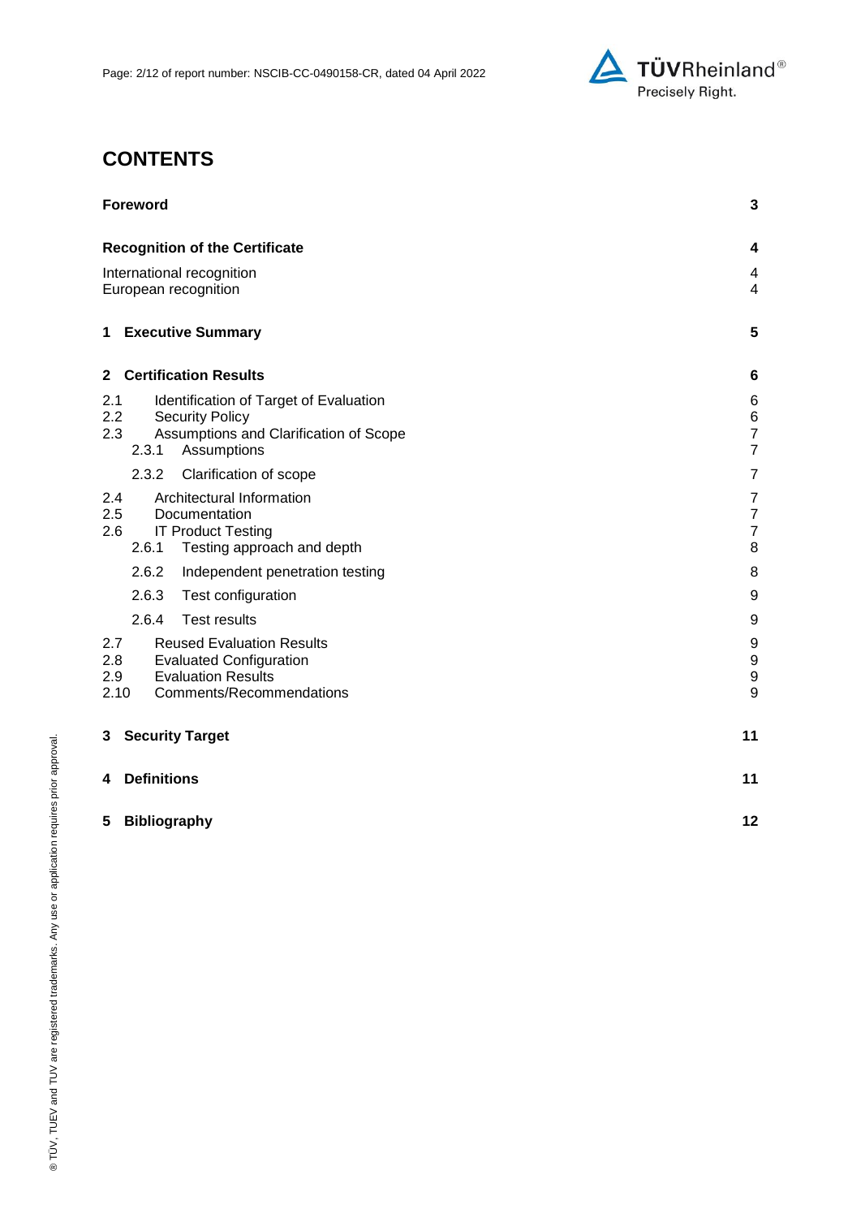

# **CONTENTS**

| <b>Foreword</b>                                                                                                                                          | 3                                                             |
|----------------------------------------------------------------------------------------------------------------------------------------------------------|---------------------------------------------------------------|
| <b>Recognition of the Certificate</b>                                                                                                                    | 4                                                             |
| International recognition<br>European recognition                                                                                                        |                                                               |
| <b>Executive Summary</b><br>1                                                                                                                            | 5                                                             |
| <b>Certification Results</b><br>$\mathbf{2}$                                                                                                             | 6                                                             |
| 2.1<br>Identification of Target of Evaluation<br>2.2<br><b>Security Policy</b><br>Assumptions and Clarification of Scope<br>2.3<br>Assumptions<br>2.3.1  | 6<br>$\begin{array}{c} 6 \\ 7 \end{array}$<br>$\overline{7}$  |
| Clarification of scope<br>2.3.2                                                                                                                          | $\overline{7}$                                                |
| Architectural Information<br>2.4<br>2.5<br>Documentation<br><b>IT Product Testing</b><br>2.6<br>2.6.1<br>Testing approach and depth                      | $\boldsymbol{7}$<br>$\boldsymbol{7}$<br>$\boldsymbol{7}$<br>8 |
| 2.6.2<br>Independent penetration testing                                                                                                                 | 8                                                             |
| 2.6.3<br>Test configuration                                                                                                                              | 9                                                             |
| 2.6.4<br><b>Test results</b>                                                                                                                             | 9                                                             |
| 2.7<br><b>Reused Evaluation Results</b><br>2.8<br><b>Evaluated Configuration</b><br><b>Evaluation Results</b><br>2.9<br>Comments/Recommendations<br>2.10 | 9<br>$\boldsymbol{9}$<br>$\boldsymbol{9}$<br>9                |
| <b>Security Target</b><br>3                                                                                                                              | 11                                                            |
| <b>Definitions</b><br>4                                                                                                                                  | 11                                                            |
| <b>Bibliography</b><br>5                                                                                                                                 | 12                                                            |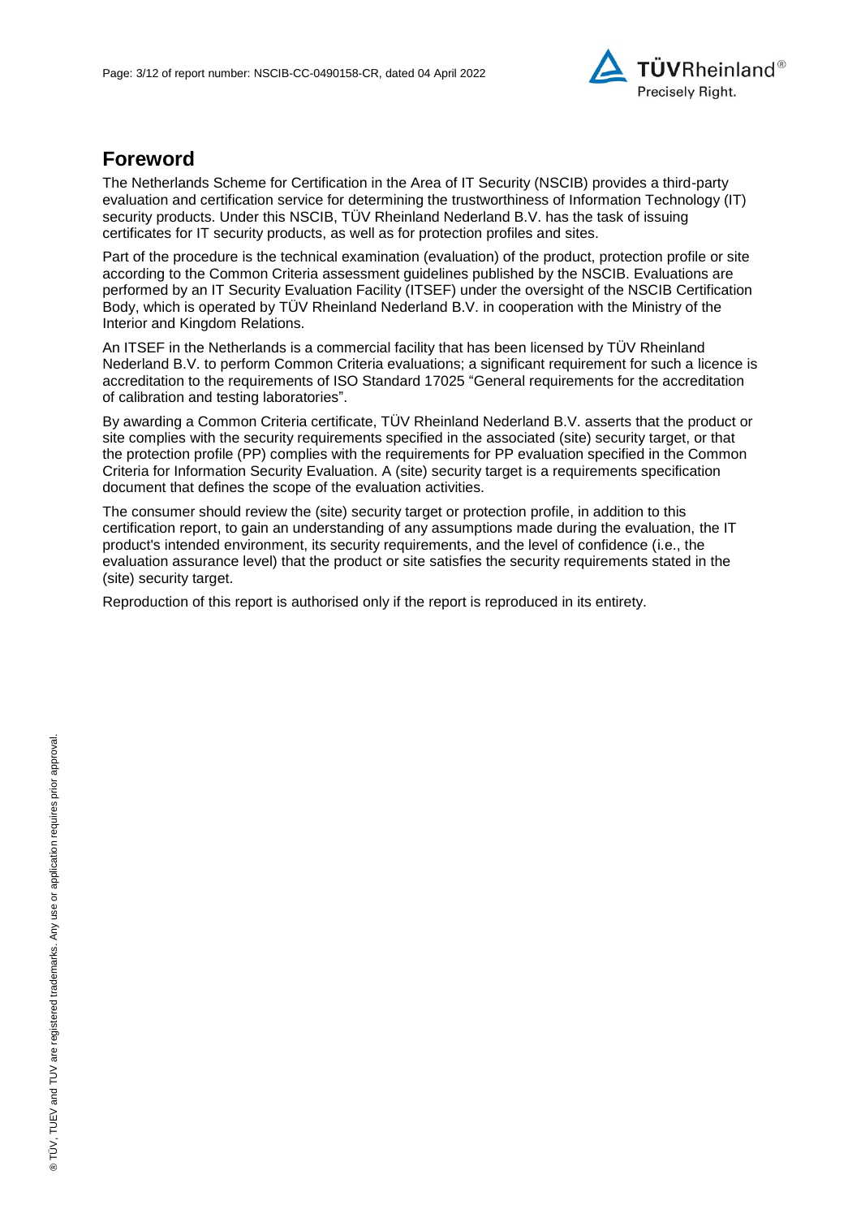

## **Foreword**

The Netherlands Scheme for Certification in the Area of IT Security (NSCIB) provides a third-party evaluation and certification service for determining the trustworthiness of Information Technology (IT) security products. Under this NSCIB, TÜV Rheinland Nederland B.V. has the task of issuing certificates for IT security products, as well as for protection profiles and sites.

Part of the procedure is the technical examination (evaluation) of the product, protection profile or site according to the Common Criteria assessment guidelines published by the NSCIB. Evaluations are performed by an IT Security Evaluation Facility (ITSEF) under the oversight of the NSCIB Certification Body, which is operated by TÜV Rheinland Nederland B.V. in cooperation with the Ministry of the Interior and Kingdom Relations.

An ITSEF in the Netherlands is a commercial facility that has been licensed by TÜV Rheinland Nederland B.V. to perform Common Criteria evaluations; a significant requirement for such a licence is accreditation to the requirements of ISO Standard 17025 "General requirements for the accreditation of calibration and testing laboratories".

By awarding a Common Criteria certificate, TÜV Rheinland Nederland B.V. asserts that the product or site complies with the security requirements specified in the associated (site) security target, or that the protection profile (PP) complies with the requirements for PP evaluation specified in the Common Criteria for Information Security Evaluation. A (site) security target is a requirements specification document that defines the scope of the evaluation activities.

The consumer should review the (site) security target or protection profile, in addition to this certification report, to gain an understanding of any assumptions made during the evaluation, the IT product's intended environment, its security requirements, and the level of confidence (i.e., the evaluation assurance level) that the product or site satisfies the security requirements stated in the (site) security target.

Reproduction of this report is authorised only if the report is reproduced in its entirety.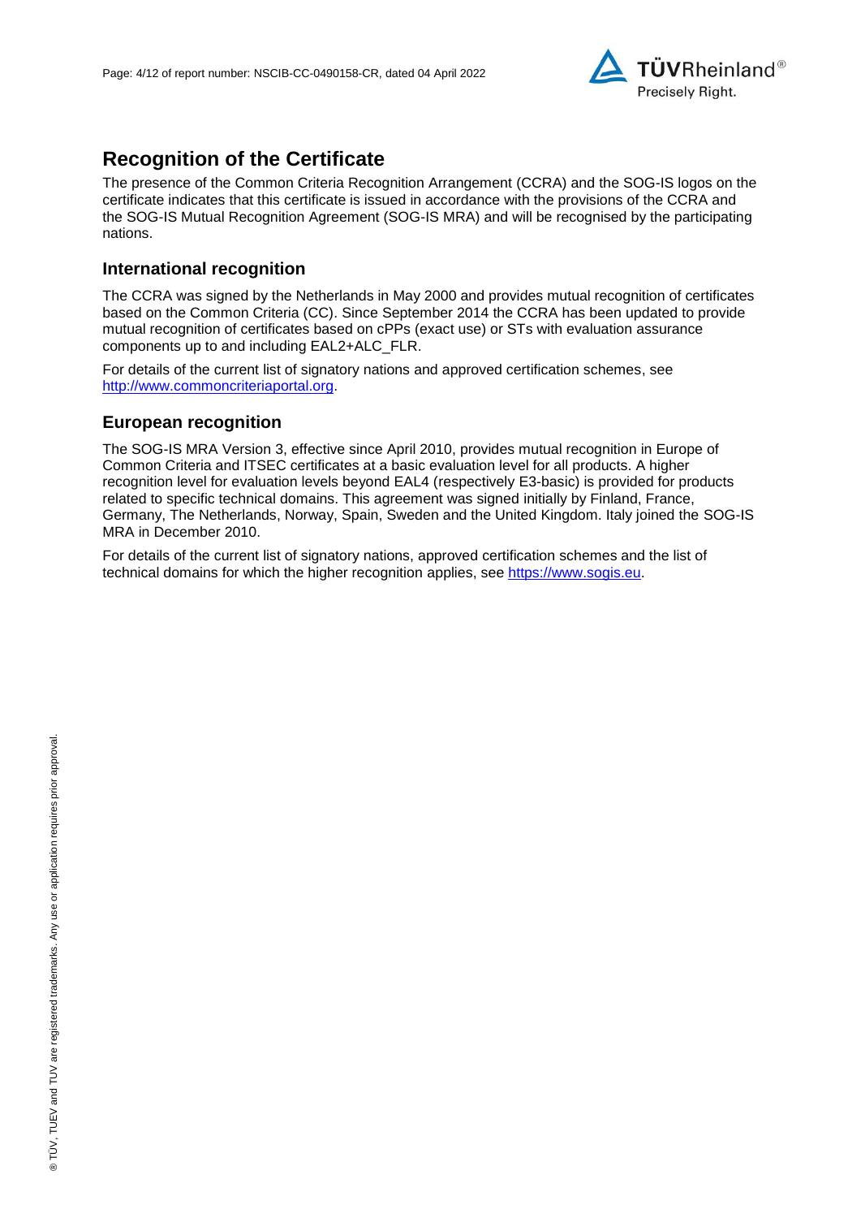

## **Recognition of the Certificate**

The presence of the Common Criteria Recognition Arrangement (CCRA) and the SOG-IS logos on the certificate indicates that this certificate is issued in accordance with the provisions of the CCRA and the SOG-IS Mutual Recognition Agreement (SOG-IS MRA) and will be recognised by the participating nations.

### **International recognition**

The CCRA was signed by the Netherlands in May 2000 and provides mutual recognition of certificates based on the Common Criteria (CC). Since September 2014 the CCRA has been updated to provide mutual recognition of certificates based on cPPs (exact use) or STs with evaluation assurance components up to and including EAL2+ALC\_FLR.

For details of the current list of signatory nations and approved certification schemes, see [http://www.commoncriteriaportal.org.](http://www.commoncriteriaportal.org/)

#### **European recognition**

The SOG-IS MRA Version 3, effective since April 2010, provides mutual recognition in Europe of Common Criteria and ITSEC certificates at a basic evaluation level for all products. A higher recognition level for evaluation levels beyond EAL4 (respectively E3-basic) is provided for products related to specific technical domains. This agreement was signed initially by Finland, France, Germany, The Netherlands, Norway, Spain, Sweden and the United Kingdom. Italy joined the SOG-IS MRA in December 2010.

For details of the current list of signatory nations, approved certification schemes and the list of technical domains for which the higher recognition applies, see [https://www.sogis.eu.](https://www.sogis.eu/)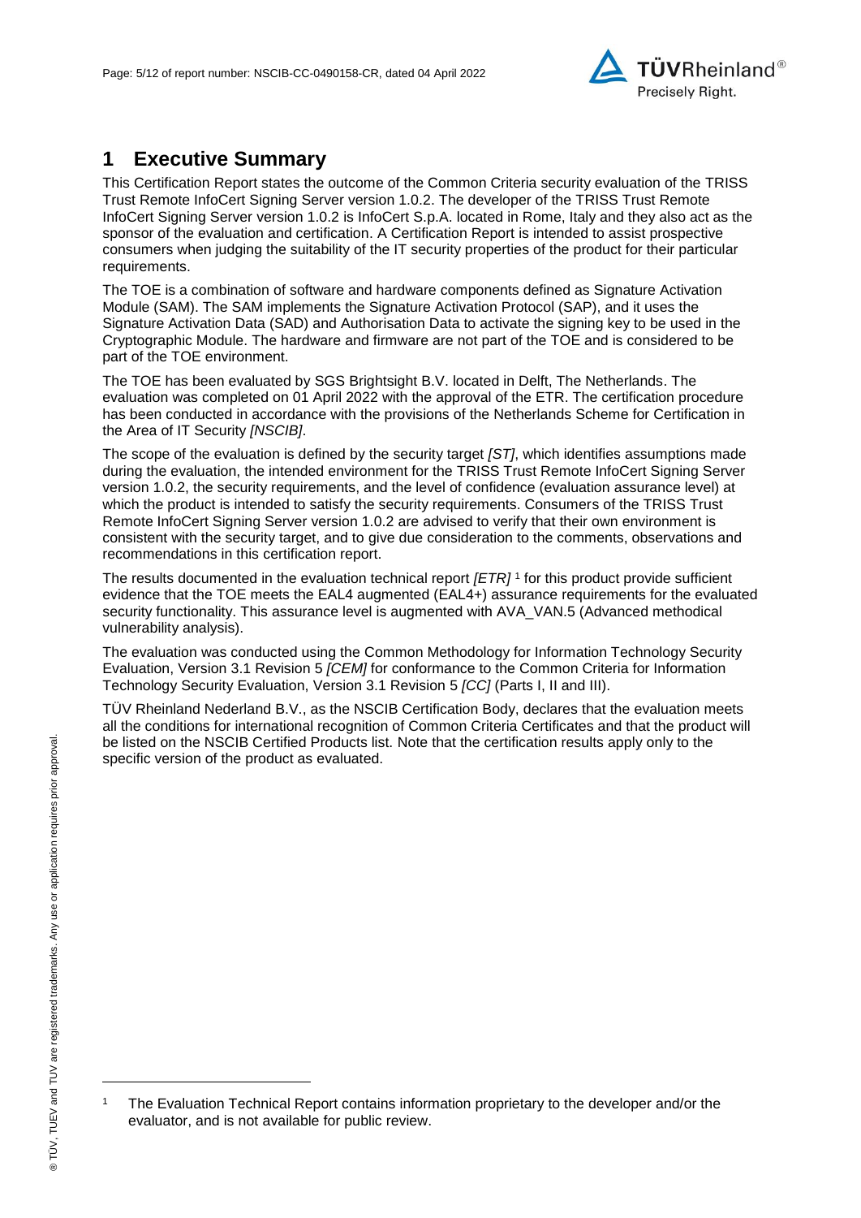<span id="page-4-2"></span>

## **1 Executive Summary**

This Certification Report states the outcome of the Common Criteria security evaluation of the [TRISS](#page-0-3)  [Trust Remote InfoCert Signing Server version 1.0.2.](#page-0-3) The developer of the [TRISS Trust Remote](#page-0-3)  [InfoCert Signing Server version 1.0.2](#page-0-3) is [InfoCert S.p.A.](#page-0-4) located in Rome, Italy and they also act as the sponsor of the evaluation and certification. A Certification Report is intended to assist prospective consumers when judging the suitability of the IT security properties of the product for their particular requirements.

The TOE is a combination of software and hardware components defined as Signature Activation Module (SAM). The SAM implements the Signature Activation Protocol (SAP), and it uses the Signature Activation Data (SAD) and Authorisation Data to activate the signing key to be used in the Cryptographic Module. The hardware and firmware are not part of the TOE and is considered to be part of the TOE environment.

The TOE has been evaluated by SGS Brightsight B.V. located in Delft, The Netherlands. The evaluation was completed on 01 April 2022 with the approval of the ETR. The certification procedure has been conducted in accordance with the provisions of the Netherlands Scheme for Certification in the Area of IT Security *[NSCIB]*.

The scope of the evaluation is defined by the security target *[ST]*, which identifies assumptions made during the evaluation, the intended environment for the [TRISS Trust Remote InfoCert Signing Server](#page-0-3)  [version 1.0.2,](#page-0-3) the security requirements, and the level of confidence (evaluation assurance level) at which the product is intended to satisfy the security requirements. Consumers of the [TRISS Trust](#page-0-3)  [Remote InfoCert Signing Server version 1.0.2](#page-0-3) are advised to verify that their own environment is consistent with the security target, and to give due consideration to the comments, observations and recommendations in this certification report.

<span id="page-4-0"></span>The results documented in the evaluation technical report *[ETR]* <sup>1</sup> for this product provide sufficient evidence that the TOE meets the EAL4 augmented (EA[L4+](#page-4-0)) assurance requirements for the evaluated security functionality. This assurance level is augmented with AVA\_VAN.5 (Advanced methodical vulnerability analysis).

<span id="page-4-1"></span>The evaluation was conducted using the Common Methodology for Information Technology Security Evaluation, Version 3.1 Revision 5 *[CEM]* for conformance to the Common Criteria for Information Technology Security Evaluation, Version 3.1 Revision [5](#page-4-1) *[CC]* (Parts I, II and III).

TÜV Rheinland Nederland B.V., as the NSCIB Certification Body, declares that the evaluation meets all the conditions for international recognition of Common Criteria Certificates and that the product will be listed on the NSCIB Certified Products list. Note that the certification results apply only to the specific version of the product as evaluated.

l

<sup>1</sup> The Evaluation Technical Report contains information proprietary to the developer and/or the evaluator, and is not available for public review.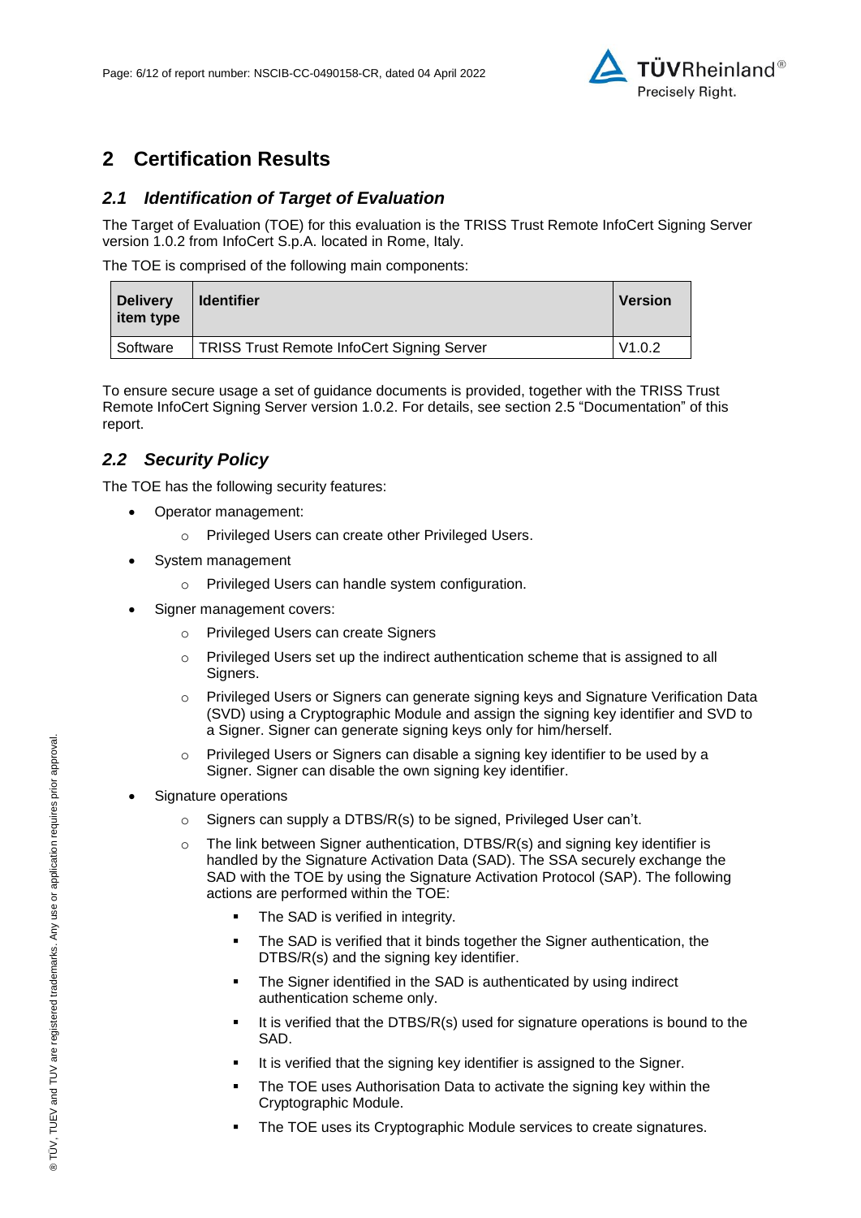

## **2 Certification Results**

### *2.1 Identification of Target of Evaluation*

The Target of Evaluation (TOE) for this evaluation is the [TRISS Trust Remote InfoCert Signing Server](#page-0-3)  [version 1.0.2](#page-0-3) from [InfoCert S.p.A.](#page-0-4) located in [Rome, Italy.](#page-4-2)

The TOE is comprised of the following main components:

| <b>Delivery</b><br>item type | <b>Identifier</b>                                 | <b>Version</b> |
|------------------------------|---------------------------------------------------|----------------|
| Software                     | <b>TRISS Trust Remote InfoCert Signing Server</b> | V1.0.2         |

To ensure secure usage a set of guidance documents is provided, together with the [TRISS Trust](#page-0-3)  [Remote InfoCert Signing Server version 1.0.2.](#page-0-3) For details, see section [2.5](#page-6-0) ["Documentation"](#page-6-0) of this report.

## *2.2 Security Policy*

The TOE has the following security features:

- Operator management:
	- o Privileged Users can create other Privileged Users.
- System management
	- o Privileged Users can handle system configuration.
- Signer management covers:
	- o Privileged Users can create Signers
	- o Privileged Users set up the indirect authentication scheme that is assigned to all Signers.
	- o Privileged Users or Signers can generate signing keys and Signature Verification Data (SVD) using a Cryptographic Module and assign the signing key identifier and SVD to a Signer. Signer can generate signing keys only for him/herself.
	- Privileged Users or Signers can disable a signing key identifier to be used by a Signer. Signer can disable the own signing key identifier.
- Signature operations
	- $\circ$  Signers can supply a DTBS/R(s) to be signed, Privileged User can't.
	- $\circ$  The link between Signer authentication, DTBS/R(s) and signing key identifier is handled by the Signature Activation Data (SAD). The SSA securely exchange the SAD with the TOE by using the Signature Activation Protocol (SAP). The following actions are performed within the TOE:
		- **•** The SAD is verified in integrity.
		- **•** The SAD is verified that it binds together the Signer authentication, the DTBS/R(s) and the signing key identifier.
		- The Signer identified in the SAD is authenticated by using indirect authentication scheme only.
		- It is verified that the DTBS/R(s) used for signature operations is bound to the SAD.
		- It is verified that the signing key identifier is assigned to the Signer.
		- The TOE uses Authorisation Data to activate the signing key within the Cryptographic Module.
		- The TOE uses its Cryptographic Module services to create signatures.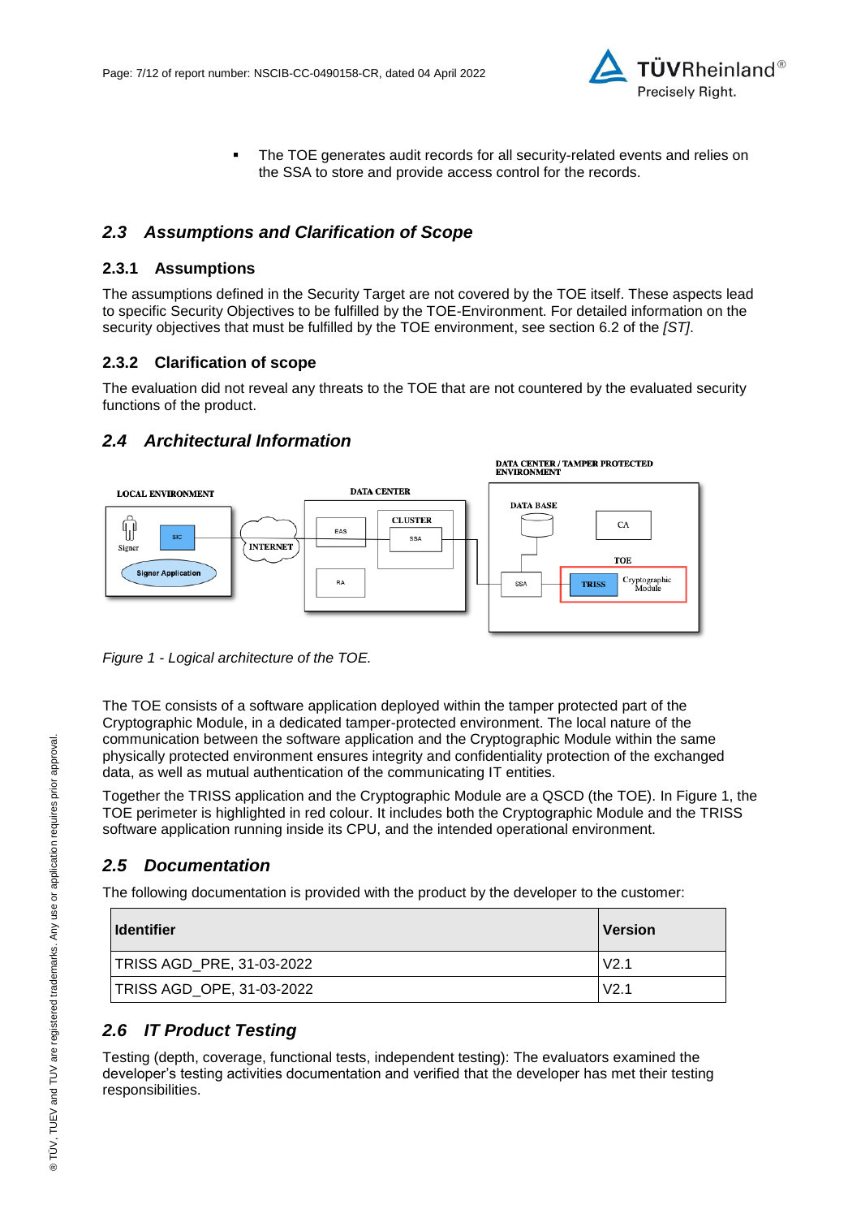

**•** The TOE generates audit records for all security-related events and relies on the SSA to store and provide access control for the records.

## *2.3 Assumptions and Clarification of Scope*

#### **2.3.1 Assumptions**

The assumptions defined in the Security Target are not covered by the TOE itself. These aspects lead to specific Security Objectives to be fulfilled by the TOE-Environment. For detailed information on the security objectives that must be fulfilled by the TOE environment, see section 6.2 of the *[ST]*.

#### **2.3.2 Clarification of scope**

The evaluation did not reveal any threats to the TOE that are not countered by the evaluated security functions of the product.

## *2.4 Architectural Information*



<span id="page-6-1"></span>*Figure 1 - Logical architecture of the TOE.*

The TOE consists of a software application deployed within the tamper protected part of the Cryptographic Module, in a dedicated tamper-protected environment. The local nature of the communication between the software application and the Cryptographic Module within the same physically protected environment ensures integrity and confidentiality protection of the exchanged data, as well as mutual authentication of the communicating IT entities.

Together the TRISS application and the Cryptographic Module are a QSCD (the TOE). In [Figure 1,](#page-6-1) the TOE perimeter is highlighted in red colour. It includes both the Cryptographic Module and the TRISS software application running inside its CPU, and the intended operational environment.

## <span id="page-6-0"></span>*2.5 Documentation*

The following documentation is provided with the product by the developer to the customer:

| <b>I</b> Identifier              | <u>IVersion</u>  |
|----------------------------------|------------------|
| <b>TRISS AGD_PRE, 31-03-2022</b> | V <sub>2.1</sub> |
| TRISS AGD_OPE, 31-03-2022        | V <sub>2.1</sub> |

## *2.6 IT Product Testing*

Testing (depth, coverage, functional tests, independent testing): The evaluators examined the developer's testing activities documentation and verified that the developer has met their testing responsibilities.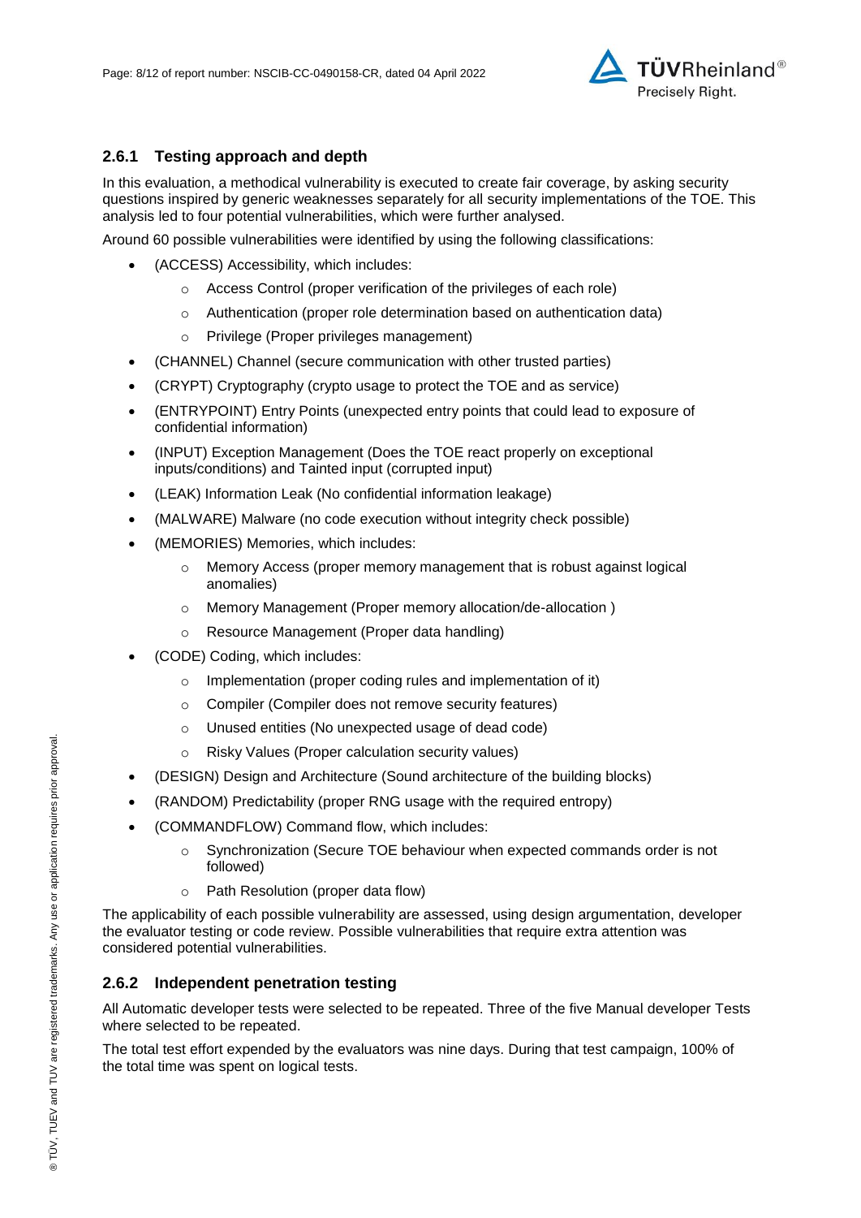

## **2.6.1 Testing approach and depth**

In this evaluation, a methodical vulnerability is executed to create fair coverage, by asking security questions inspired by generic weaknesses separately for all security implementations of the TOE. This analysis led to four potential vulnerabilities, which were further analysed.

Around 60 possible vulnerabilities were identified by using the following classifications:

- (ACCESS) Accessibility, which includes:
	- o Access Control (proper verification of the privileges of each role)
	- o Authentication (proper role determination based on authentication data)
	- o Privilege (Proper privileges management)
- (CHANNEL) Channel (secure communication with other trusted parties)
- (CRYPT) Cryptography (crypto usage to protect the TOE and as service)
- (ENTRYPOINT) Entry Points (unexpected entry points that could lead to exposure of confidential information)
- (INPUT) Exception Management (Does the TOE react properly on exceptional inputs/conditions) and Tainted input (corrupted input)
- (LEAK) Information Leak (No confidential information leakage)
- (MALWARE) Malware (no code execution without integrity check possible)
- (MEMORIES) Memories, which includes:
	- $\circ$  Memory Access (proper memory management that is robust against logical anomalies)
	- o Memory Management (Proper memory allocation/de-allocation )
	- o Resource Management (Proper data handling)
- (CODE) Coding, which includes:
	- o Implementation (proper coding rules and implementation of it)
	- o Compiler (Compiler does not remove security features)
	- o Unused entities (No unexpected usage of dead code)
	- o Risky Values (Proper calculation security values)
- (DESIGN) Design and Architecture (Sound architecture of the building blocks)
- (RANDOM) Predictability (proper RNG usage with the required entropy)
- (COMMANDFLOW) Command flow, which includes:
	- $\circ$  Synchronization (Secure TOE behaviour when expected commands order is not followed)
	- o Path Resolution (proper data flow)

The applicability of each possible vulnerability are assessed, using design argumentation, developer the evaluator testing or code review. Possible vulnerabilities that require extra attention was considered potential vulnerabilities.

#### **2.6.2 Independent penetration testing**

All Automatic developer tests were selected to be repeated. Three of the five Manual developer Tests where selected to be repeated.

The total test effort expended by the evaluators was nine days. During that test campaign, 100% of the total time was spent on logical tests.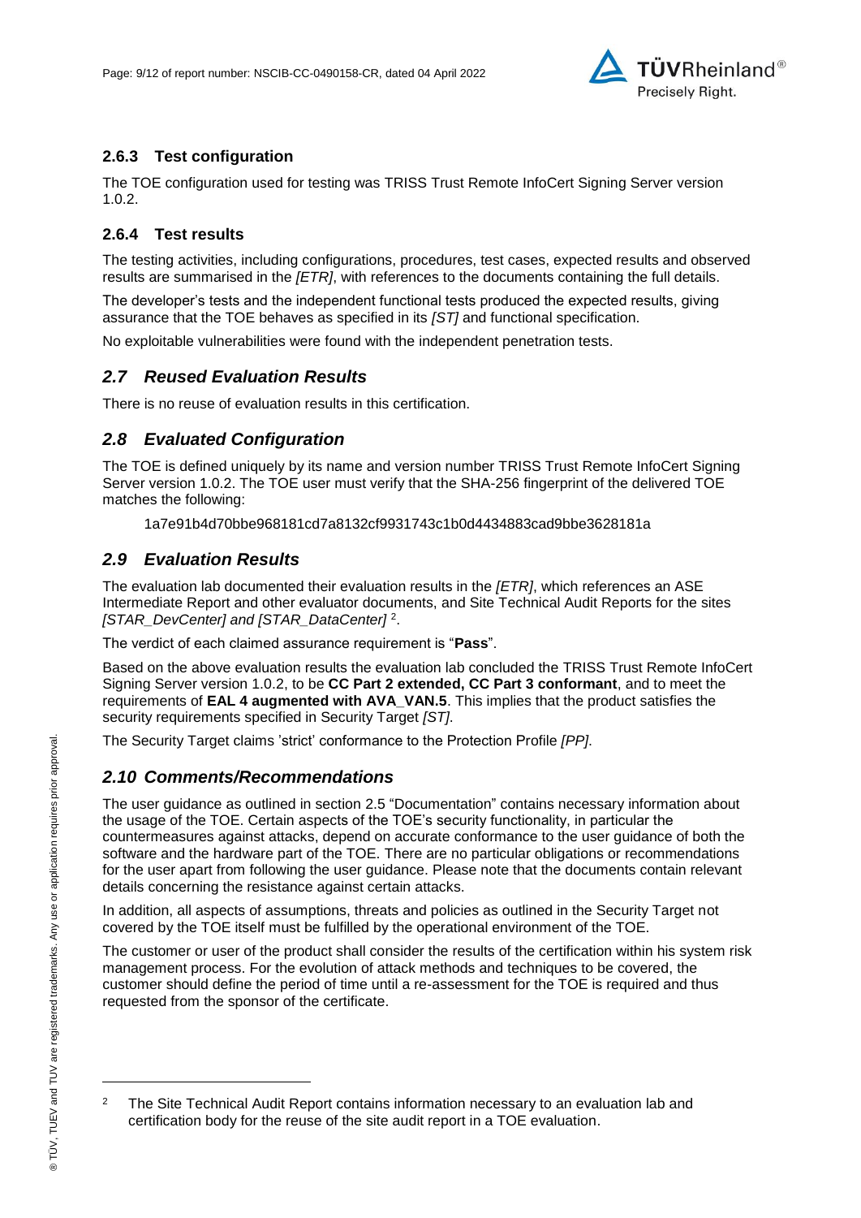

### **2.6.3 Test configuration**

The TOE configuration used for testing was TRISS Trust Remote InfoCert Signing Server version 1.0.2.

#### **2.6.4 Test results**

The testing activities, including configurations, procedures, test cases, expected results and observed results are summarised in the *[ETR]*, with references to the documents containing the full details.

The developer's tests and the independent functional tests produced the expected results, giving assurance that the TOE behaves as specified in its *[ST]* and functional specification.

No exploitable vulnerabilities were found with the independent penetration tests.

#### *2.7 Reused Evaluation Results*

There is no reuse of evaluation results in this certification.

#### *2.8 Evaluated Configuration*

The TOE is defined uniquely by its name and version number [TRISS Trust Remote InfoCert Signing](#page-0-3)  [Server version 1.0.2.](#page-0-3) The TOE user must verify that the SHA-256 fingerprint of the delivered TOE matches the following:

1a7e91b4d70bbe968181cd7a8132cf9931743c1b0d4434883cad9bbe3628181a

#### *2.9 Evaluation Results*

The evaluation lab documented their evaluation results in the *[ETR]*, which references an ASE Intermediate Report and other evaluator documents, and Site Technical Audit Reports for the sites *[STAR\_DevCenter] and [STAR\_DataCenter]* <sup>2</sup> .

The verdict of each claimed assurance requirement is "**Pass**".

Based on the above evaluation results the evaluation lab concluded the [TRISS Trust Remote InfoCert](#page-0-3)  [Signing Server version 1.0.2,](#page-0-3) to be **CC Part 2 extended, CC Part 3 conformant**, and to meet the requirements of **EAL [4](#page-4-0) augmented with AVA\_VAN.5**. This implies that the product satisfies the security requirements specified in Security Target *[ST]*.

The Security Target claims 'strict' conformance to the Protection Profile *[PP]*.

#### *2.10 Comments/Recommendations*

The user guidance as outlined in section [2.5](#page-6-0) ["Documentation"](#page-6-0) contains necessary information about the usage of the TOE. Certain aspects of the TOE's security functionality, in particular the countermeasures against attacks, depend on accurate conformance to the user guidance of both the software and the hardware part of the TOE. There are no particular obligations or recommendations for the user apart from following the user guidance. Please note that the documents contain relevant details concerning the resistance against certain attacks.

In addition, all aspects of assumptions, threats and policies as outlined in the Security Target not covered by the TOE itself must be fulfilled by the operational environment of the TOE.

The customer or user of the product shall consider the results of the certification within his system risk management process. For the evolution of attack methods and techniques to be covered, the customer should define the period of time until a re-assessment for the TOE is required and thus requested from the sponsor of the certificate.

l

<sup>2</sup> The Site Technical Audit Report contains information necessary to an evaluation lab and certification body for the reuse of the site audit report in a TOE evaluation.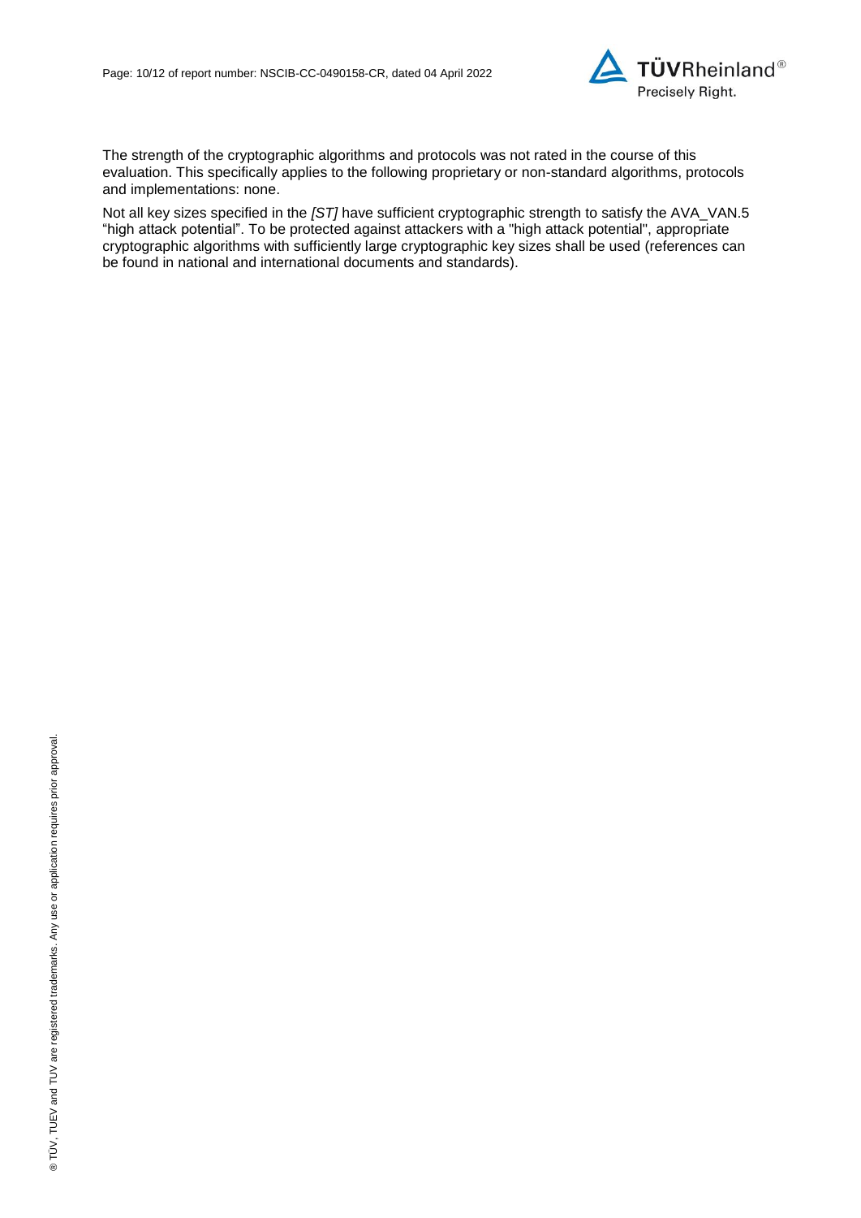

The strength of the cryptographic algorithms and protocols was not rated in the course of this evaluation. This specifically applies to the following proprietary or non-standard algorithms, protocols and implementations: none.

Not all key sizes specified in the *[ST]* have sufficient cryptographic strength to satisfy the AVA\_VAN.5 "high attack potential". To be protected against attackers with a "high attack potential", appropriate cryptographic algorithms with sufficiently large cryptographic key sizes shall be used (references can be found in national and international documents and standards).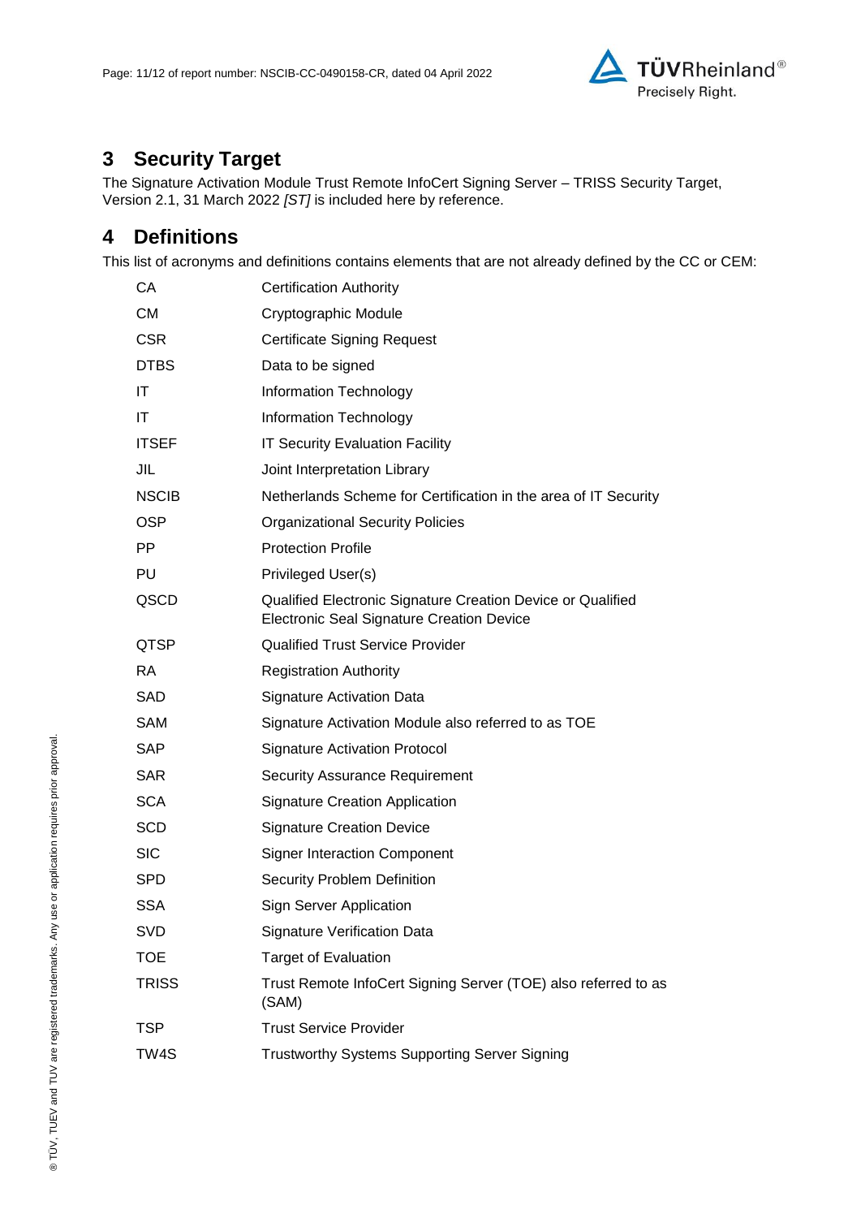

# **3 Security Target**

The [Signature Activation Module Trust Remote InfoCert Signing Server –](#page-11-0) TRISS Security Target, Version [2.1, 31 March 2022](#page-11-0) *[ST]* is included here by reference.

## **4 Definitions**

This list of acronyms and definitions contains elements that are not already defined by the CC or CEM:

| СA           | <b>Certification Authority</b>                                                                                  |
|--------------|-----------------------------------------------------------------------------------------------------------------|
| <b>CM</b>    | Cryptographic Module                                                                                            |
| <b>CSR</b>   | <b>Certificate Signing Request</b>                                                                              |
| <b>DTBS</b>  | Data to be signed                                                                                               |
| ΙT           | Information Technology                                                                                          |
| IT           | Information Technology                                                                                          |
| <b>ITSEF</b> | <b>IT Security Evaluation Facility</b>                                                                          |
| JIL          | Joint Interpretation Library                                                                                    |
| <b>NSCIB</b> | Netherlands Scheme for Certification in the area of IT Security                                                 |
| <b>OSP</b>   | <b>Organizational Security Policies</b>                                                                         |
| PP.          | <b>Protection Profile</b>                                                                                       |
| PU           | Privileged User(s)                                                                                              |
| QSCD         | Qualified Electronic Signature Creation Device or Qualified<br><b>Electronic Seal Signature Creation Device</b> |
| QTSP         | <b>Qualified Trust Service Provider</b>                                                                         |
| <b>RA</b>    | <b>Registration Authority</b>                                                                                   |
| <b>SAD</b>   | Signature Activation Data                                                                                       |
| SAM          | Signature Activation Module also referred to as TOE                                                             |
| <b>SAP</b>   | <b>Signature Activation Protocol</b>                                                                            |
| <b>SAR</b>   | <b>Security Assurance Requirement</b>                                                                           |
| <b>SCA</b>   | <b>Signature Creation Application</b>                                                                           |
| <b>SCD</b>   | <b>Signature Creation Device</b>                                                                                |
| <b>SIC</b>   | <b>Signer Interaction Component</b>                                                                             |
| <b>SPD</b>   | Security Problem Definition                                                                                     |
| <b>SSA</b>   | <b>Sign Server Application</b>                                                                                  |
| SVD          | Signature Verification Data                                                                                     |
| <b>TOE</b>   | <b>Target of Evaluation</b>                                                                                     |
| <b>TRISS</b> | Trust Remote InfoCert Signing Server (TOE) also referred to as<br>(SAM)                                         |
| <b>TSP</b>   | <b>Trust Service Provider</b>                                                                                   |
| TW4S         | <b>Trustworthy Systems Supporting Server Signing</b>                                                            |